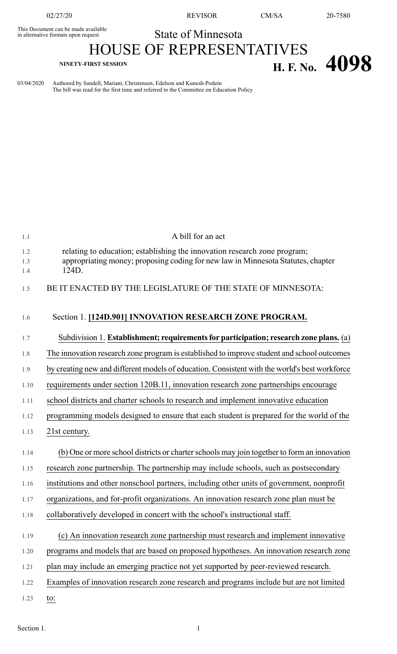This Document can be made available<br>in alternative formats upon request

02/27/20 REVISOR CM/SA 20-7580

## State of Minnesota

## HOUSE OF REPRESENTATIVES **NINETY-FIRST SESSION H. F. No. 4098**

03/04/2020 Authored by Sandell, Mariani, Christensen, Edelson and Kunesh-Podein The bill was read for the first time and referred to the Committee on Education Policy

| 1.1               | A bill for an act                                                                                                                                                      |
|-------------------|------------------------------------------------------------------------------------------------------------------------------------------------------------------------|
| 1.2<br>1.3<br>1.4 | relating to education; establishing the innovation research zone program;<br>appropriating money; proposing coding for new law in Minnesota Statutes, chapter<br>124D. |
| 1.5               | BE IT ENACTED BY THE LEGISLATURE OF THE STATE OF MINNESOTA:                                                                                                            |
| 1.6               | Section 1. [124D.901] INNOVATION RESEARCH ZONE PROGRAM.                                                                                                                |
| 1.7               | Subdivision 1. Establishment; requirements for participation; research zone plans. (a)                                                                                 |
| 1.8               | The innovation research zone program is established to improve student and school outcomes                                                                             |
| 1.9               | by creating new and different models of education. Consistent with the world's best workforce                                                                          |
| 1.10              | requirements under section 120B.11, innovation research zone partnerships encourage                                                                                    |
| 1.11              | school districts and charter schools to research and implement innovative education                                                                                    |
| 1.12              | programming models designed to ensure that each student is prepared for the world of the                                                                               |
| 1.13              | 21st century.                                                                                                                                                          |
| 1.14              | (b) One or more school districts or charter schools may join together to form an innovation                                                                            |
| 1.15              | research zone partnership. The partnership may include schools, such as postsecondary                                                                                  |
| 1.16              | institutions and other nonschool partners, including other units of government, nonprofit                                                                              |
| 1.17              | organizations, and for-profit organizations. An innovation research zone plan must be                                                                                  |
| 1.18              | collaboratively developed in concert with the school's instructional staff.                                                                                            |
| 1.19              | (c) An innovation research zone partnership must research and implement innovative                                                                                     |
| 1.20              | programs and models that are based on proposed hypotheses. An innovation research zone                                                                                 |
| 1.21              | plan may include an emerging practice not yet supported by peer-reviewed research.                                                                                     |
| 1.22              | Examples of innovation research zone research and programs include but are not limited                                                                                 |
| 1.23              | to:                                                                                                                                                                    |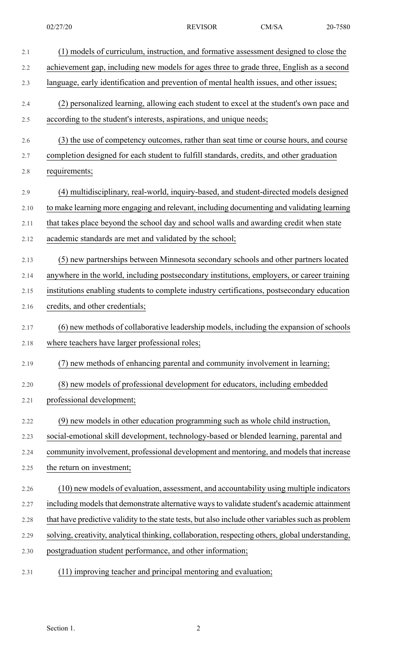| 2.1     | (1) models of curriculum, instruction, and formative assessment designed to close the              |
|---------|----------------------------------------------------------------------------------------------------|
| 2.2     | achievement gap, including new models for ages three to grade three, English as a second           |
| 2.3     | language, early identification and prevention of mental health issues, and other issues;           |
| 2.4     | (2) personalized learning, allowing each student to excel at the student's own pace and            |
| 2.5     | according to the student's interests, aspirations, and unique needs;                               |
| 2.6     | (3) the use of competency outcomes, rather than seat time or course hours, and course              |
| 2.7     | completion designed for each student to fulfill standards, credits, and other graduation           |
| $2.8\,$ | requirements;                                                                                      |
| 2.9     | (4) multidisciplinary, real-world, inquiry-based, and student-directed models designed             |
| 2.10    | to make learning more engaging and relevant, including documenting and validating learning         |
| 2.11    | that takes place beyond the school day and school walls and awarding credit when state             |
| 2.12    | academic standards are met and validated by the school;                                            |
| 2.13    | (5) new partnerships between Minnesota secondary schools and other partners located                |
| 2.14    | anywhere in the world, including postsecondary institutions, employers, or career training         |
| 2.15    | institutions enabling students to complete industry certifications, postsecondary education        |
| 2.16    | credits, and other credentials;                                                                    |
| 2.17    | (6) new methods of collaborative leadership models, including the expansion of schools             |
| 2.18    | where teachers have larger professional roles;                                                     |
| 2.19    | ) new methods of enhancing parental and community involvement in learning;                         |
| 2.20    | (8) new models of professional development for educators, including embedded                       |
| 2.21    | professional development;                                                                          |
| 2.22    | (9) new models in other education programming such as whole child instruction,                     |
| 2.23    | social-emotional skill development, technology-based or blended learning, parental and             |
| 2.24    | community involvement, professional development and mentoring, and models that increase            |
| 2.25    | the return on investment;                                                                          |
| 2.26    | (10) new models of evaluation, assessment, and accountability using multiple indicators            |
| 2.27    | including models that demonstrate alternative ways to validate student's academic attainment       |
| 2.28    | that have predictive validity to the state tests, but also include other variables such as problem |
| 2.29    | solving, creativity, analytical thinking, collaboration, respecting others, global understanding,  |
| 2.30    | postgraduation student performance, and other information;                                         |
|         |                                                                                                    |

2.31 (11) improving teacher and principal mentoring and evaluation;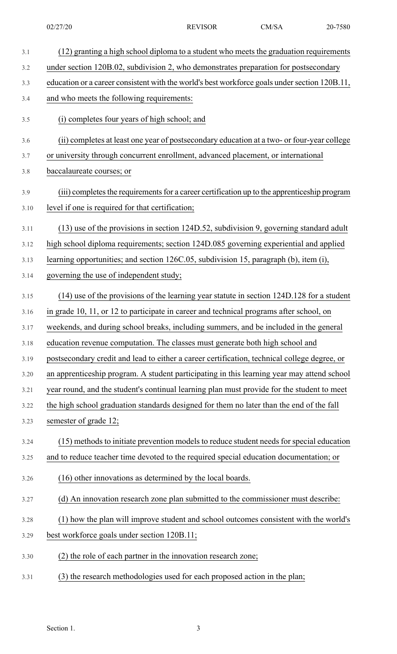| 3.1         | (12) granting a high school diploma to a student who meets the graduation requirements                                                           |
|-------------|--------------------------------------------------------------------------------------------------------------------------------------------------|
| 3.2         | under section 120B.02, subdivision 2, who demonstrates preparation for postsecondary                                                             |
| 3.3         | education or a career consistent with the world's best workforce goals under section 120B.11,                                                    |
| 3.4         | and who meets the following requirements:                                                                                                        |
| 3.5         | (i) completes four years of high school; and                                                                                                     |
| 3.6         | (ii) completes at least one year of postsecondary education at a two- or four-year college                                                       |
| 3.7         | or university through concurrent enrollment, advanced placement, or international                                                                |
| 3.8         | baccalaureate courses; or                                                                                                                        |
| 3.9<br>3.10 | (iii) completes the requirements for a career certification up to the apprenticeship program<br>level if one is required for that certification; |
| 3.11        | $(13)$ use of the provisions in section 124D.52, subdivision 9, governing standard adult                                                         |
| 3.12        | high school diploma requirements; section 124D.085 governing experiential and applied                                                            |
| 3.13        | learning opportunities; and section 126C.05, subdivision 15, paragraph (b), item (i),                                                            |
| 3.14        | governing the use of independent study;                                                                                                          |
| 3.15        | (14) use of the provisions of the learning year statute in section 124D.128 for a student                                                        |
| 3.16        | in grade 10, 11, or 12 to participate in career and technical programs after school, on                                                          |
| 3.17        | weekends, and during school breaks, including summers, and be included in the general                                                            |
| 3.18        | education revenue computation. The classes must generate both high school and                                                                    |
| 3.19        | postsecondary credit and lead to either a career certification, technical college degree, or                                                     |
| 3.20        | an apprenticeship program. A student participating in this learning year may attend school                                                       |
| 3.21        | year round, and the student's continual learning plan must provide for the student to meet                                                       |
| 3.22        | the high school graduation standards designed for them no later than the end of the fall                                                         |
| 3.23        | semester of grade 12;                                                                                                                            |
| 3.24        | (15) methods to initiate prevention models to reduce student needs for special education                                                         |
| 3.25        | and to reduce teacher time devoted to the required special education documentation; or                                                           |
| 3.26        | (16) other innovations as determined by the local boards.                                                                                        |
| 3.27        | (d) An innovation research zone plan submitted to the commissioner must describe:                                                                |
| 3.28        | (1) how the plan will improve student and school outcomes consistent with the world's                                                            |
| 3.29        | best workforce goals under section 120B.11;                                                                                                      |
| 3.30        | (2) the role of each partner in the innovation research zone;                                                                                    |
| 3.31        | (3) the research methodologies used for each proposed action in the plan;                                                                        |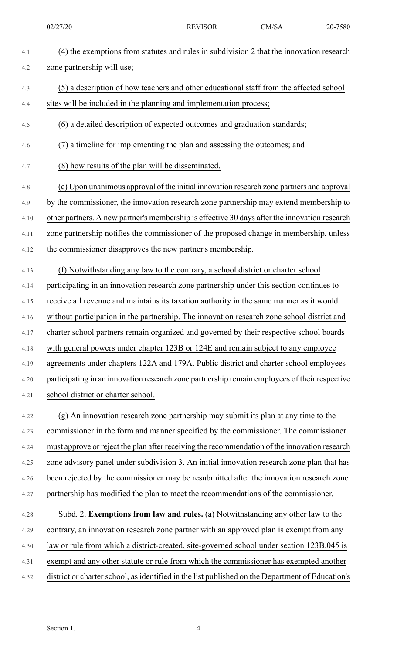| 4.1  | (4) the exemptions from statutes and rules in subdivision 2 that the innovation research         |
|------|--------------------------------------------------------------------------------------------------|
| 4.2  | zone partnership will use;                                                                       |
| 4.3  | (5) a description of how teachers and other educational staff from the affected school           |
| 4.4  | sites will be included in the planning and implementation process;                               |
|      |                                                                                                  |
| 4.5  | (6) a detailed description of expected outcomes and graduation standards;                        |
| 4.6  | (7) a timeline for implementing the plan and assessing the outcomes; and                         |
| 4.7  | (8) how results of the plan will be disseminated.                                                |
| 4.8  | (e) Upon unanimous approval of the initial innovation research zone partners and approval        |
| 4.9  | by the commissioner, the innovation research zone partnership may extend membership to           |
| 4.10 | other partners. A new partner's membership is effective 30 days after the innovation research    |
| 4.11 | zone partnership notifies the commissioner of the proposed change in membership, unless          |
| 4.12 | the commissioner disapproves the new partner's membership.                                       |
| 4.13 | (f) Notwithstanding any law to the contrary, a school district or charter school                 |
| 4.14 | participating in an innovation research zone partnership under this section continues to         |
| 4.15 | receive all revenue and maintains its taxation authority in the same manner as it would          |
| 4.16 | without participation in the partnership. The innovation research zone school district and       |
| 4.17 | charter school partners remain organized and governed by their respective school boards          |
| 4.18 | with general powers under chapter 123B or 124E and remain subject to any employee                |
| 4.19 | agreements under chapters 122A and 179A. Public district and charter school employees            |
| 4.20 | participating in an innovation research zone partnership remain employees of their respective    |
| 4.21 | school district or charter school.                                                               |
| 4.22 | (g) An innovation research zone partnership may submit its plan at any time to the               |
| 4.23 | commissioner in the form and manner specified by the commissioner. The commissioner              |
| 4.24 | must approve or reject the plan after receiving the recommendation of the innovation research    |
| 4.25 | zone advisory panel under subdivision 3. An initial innovation research zone plan that has       |
| 4.26 | been rejected by the commissioner may be resubmitted after the innovation research zone          |
| 4.27 | partnership has modified the plan to meet the recommendations of the commissioner.               |
| 4.28 | Subd. 2. Exemptions from law and rules. (a) Notwithstanding any other law to the                 |
| 4.29 | contrary, an innovation research zone partner with an approved plan is exempt from any           |
| 4.30 | law or rule from which a district-created, site-governed school under section 123B.045 is        |
| 4.31 | exempt and any other statute or rule from which the commissioner has exempted another            |
| 4.32 | district or charter school, as identified in the list published on the Department of Education's |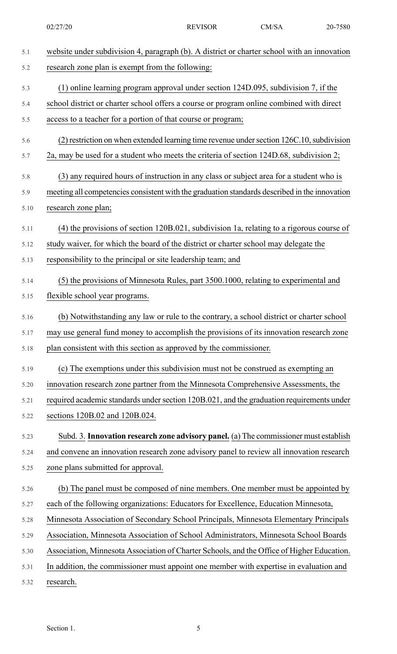02/27/20 REVISOR CM/SA 20-7580

| 5.1  | website under subdivision 4, paragraph (b). A district or charter school with an innovation   |
|------|-----------------------------------------------------------------------------------------------|
| 5.2  | research zone plan is exempt from the following:                                              |
| 5.3  | (1) online learning program approval under section 124D.095, subdivision 7, if the            |
| 5.4  | school district or charter school offers a course or program online combined with direct      |
| 5.5  | access to a teacher for a portion of that course or program;                                  |
| 5.6  | $(2)$ restriction on when extended learning time revenue under section 126C.10, subdivision   |
| 5.7  | 2a, may be used for a student who meets the criteria of section 124D.68, subdivision 2;       |
| 5.8  | (3) any required hours of instruction in any class or subject area for a student who is       |
| 5.9  | meeting all competencies consistent with the graduation standards described in the innovation |
| 5.10 | research zone plan;                                                                           |
| 5.11 | (4) the provisions of section 120B.021, subdivision 1a, relating to a rigorous course of      |
| 5.12 | study waiver, for which the board of the district or charter school may delegate the          |
| 5.13 | responsibility to the principal or site leadership team; and                                  |
| 5.14 | (5) the provisions of Minnesota Rules, part 3500.1000, relating to experimental and           |
| 5.15 | flexible school year programs.                                                                |
| 5.16 | (b) Notwithstanding any law or rule to the contrary, a school district or charter school      |
| 5.17 | may use general fund money to accomplish the provisions of its innovation research zone       |
| 5.18 | plan consistent with this section as approved by the commissioner.                            |
| 5.19 | (c) The exemptions under this subdivision must not be construed as exempting an               |
| 5.20 | innovation research zone partner from the Minnesota Comprehensive Assessments, the            |
| 5.21 | required academic standards under section 120B.021, and the graduation requirements under     |
| 5.22 | sections 120B.02 and 120B.024.                                                                |
| 5.23 | Subd. 3. Innovation research zone advisory panel. (a) The commissioner must establish         |
| 5.24 | and convene an innovation research zone advisory panel to review all innovation research      |
| 5.25 | zone plans submitted for approval.                                                            |
| 5.26 | (b) The panel must be composed of nine members. One member must be appointed by               |
| 5.27 | each of the following organizations: Educators for Excellence, Education Minnesota,           |
| 5.28 | Minnesota Association of Secondary School Principals, Minnesota Elementary Principals         |
| 5.29 | Association, Minnesota Association of School Administrators, Minnesota School Boards          |
| 5.30 | Association, Minnesota Association of Charter Schools, and the Office of Higher Education.    |
| 5.31 | In addition, the commissioner must appoint one member with expertise in evaluation and        |
| 5.32 | research.                                                                                     |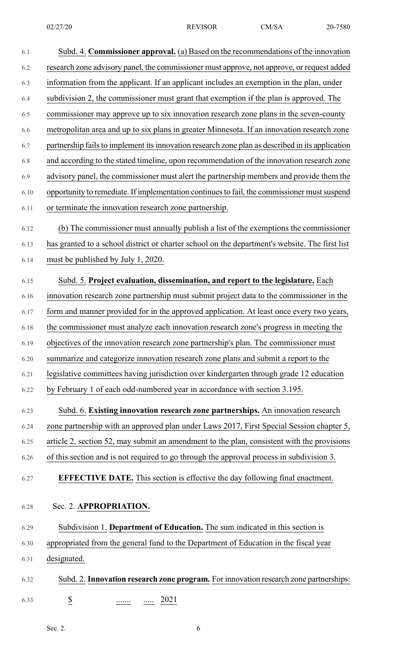| 6.1  | Subd. 4. <b>Commissioner approval.</b> (a) Based on the recommendations of the innovation        |
|------|--------------------------------------------------------------------------------------------------|
| 6.2  | research zone advisory panel, the commissioner must approve, not approve, or request added       |
| 6.3  | information from the applicant. If an applicant includes an exemption in the plan, under         |
| 6.4  | subdivision 2, the commissioner must grant that exemption if the plan is approved. The           |
| 6.5  | commissioner may approve up to six innovation research zone plans in the seven-county            |
| 6.6  | metropolitan area and up to six plans in greater Minnesota. If an innovation research zone       |
| 6.7  | partnership fails to implement its innovation research zone plan as described in its application |
| 6.8  | and according to the stated timeline, upon recommendation of the innovation research zone        |
| 6.9  | advisory panel, the commissioner must alert the partnership members and provide them the         |
| 6.10 | opportunity to remediate. If implementation continues to fail, the commissioner must suspend     |
| 6.11 | or terminate the innovation research zone partnership.                                           |
| 6.12 | (b) The commissioner must annually publish a list of the exemptions the commissioner             |
| 6.13 | has granted to a school district or charter school on the department's website. The first list   |
| 6.14 | must be published by July 1, 2020.                                                               |
| 6.15 | Subd. 5. Project evaluation, dissemination, and report to the legislature. Each                  |
| 6.16 | innovation research zone partnership must submit project data to the commissioner in the         |
| 6.17 | form and manner provided for in the approved application. At least once every two years,         |
| 6.18 | the commissioner must analyze each innovation research zone's progress in meeting the            |
| 6.19 | objectives of the innovation research zone partnership's plan. The commissioner must             |
| 6.20 | summarize and categorize innovation research zone plans and submit a report to the               |
| 6.21 | legislative committees having jurisdiction over kindergarten through grade 12 education          |
| 6.22 | by February 1 of each odd-numbered year in accordance with section 3.195.                        |
| 6.23 | Subd. 6. Existing innovation research zone partnerships. An innovation research                  |
| 6.24 | zone partnership with an approved plan under Laws 2017, First Special Session chapter 5,         |
| 6.25 | article 2, section 52, may submit an amendment to the plan, consistent with the provisions       |
| 6.26 | of this section and is not required to go through the approval process in subdivision 3.         |
| 6.27 | <b>EFFECTIVE DATE.</b> This section is effective the day following final enactment.              |
| 6.28 | Sec. 2. APPROPRIATION.                                                                           |
| 6.29 | Subdivision 1. Department of Education. The sum indicated in this section is                     |
| 6.30 | appropriated from the general fund to the Department of Education in the fiscal year             |
| 6.31 | designated.                                                                                      |
| 6.32 | Subd. 2. Innovation research zone program. For innovation research zone partnerships:            |
| 6.33 | $\underline{\S}$<br>$\ldots$ 2021<br>                                                            |

Sec. 2.  $6<sup>6</sup>$